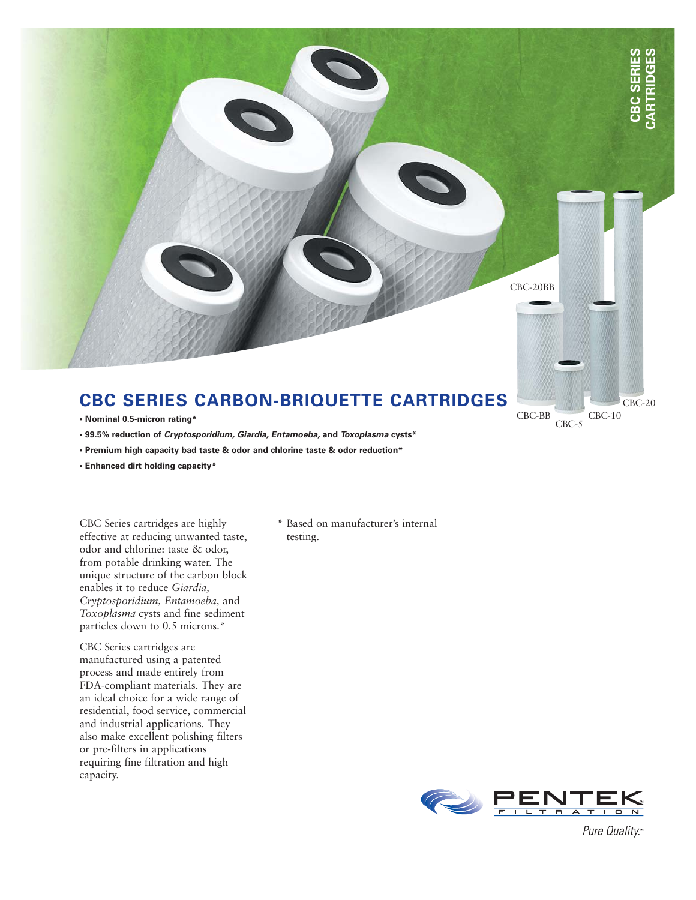

## **CBC SERIES CARBON-BRIQUETTE CARTRIDGES**

- **Nominal 0.5-micron rating\***
- **99.5% reduction of Cryptosporidium, Giardia, Entamoeba, and Toxoplasma cysts\***
- **Premium high capacity bad taste & odor and chlorine taste & odor reduction\***
- **Enhanced dirt holding capacity\***

CBC Series cartridges are highly effective at reducing unwanted taste, odor and chlorine: taste & odor, from potable drinking water. The unique structure of the carbon block enables it to reduce *Giardia, Cryptosporidium, Entamoeba,* and *Toxoplasma* cysts and fine sediment particles down to 0.5 microns.\*

CBC Series cartridges are manufactured using a patented process and made entirely from FDA-compliant materials. They are an ideal choice for a wide range of residential, food service, commercial and industrial applications. They also make excellent polishing filters or pre-filters in applications requiring fine filtration and high capacity.

\* Based on manufacturer's internal testing.



CBC-BB

CBC-5

CBC-10

CBC-20

Pure Quality.™